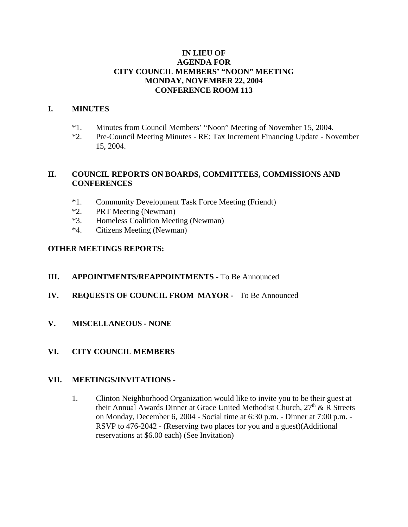## **IN LIEU OF AGENDA FOR CITY COUNCIL MEMBERS' "NOON" MEETING MONDAY, NOVEMBER 22, 2004 CONFERENCE ROOM 113**

## **I. MINUTES**

- \*1. Minutes from Council Members' "Noon" Meeting of November 15, 2004.
- \*2. Pre-Council Meeting Minutes RE: Tax Increment Financing Update November 15, 2004.

## **II. COUNCIL REPORTS ON BOARDS, COMMITTEES, COMMISSIONS AND CONFERENCES**

- \*1. Community Development Task Force Meeting (Friendt)
- \*2. PRT Meeting (Newman)
- \*3. Homeless Coalition Meeting (Newman)
- \*4. Citizens Meeting (Newman)

# **OTHER MEETINGS REPORTS:**

- **III. APPOINTMENTS/REAPPOINTMENTS** To Be Announced
- **IV. REQUESTS OF COUNCIL FROM MAYOR** To Be Announced
- **V. MISCELLANEOUS NONE**
- **VI. CITY COUNCIL MEMBERS**

#### **VII. MEETINGS/INVITATIONS -**

1. Clinton Neighborhood Organization would like to invite you to be their guest at their Annual Awards Dinner at Grace United Methodist Church,  $27<sup>th</sup>$  & R Streets on Monday, December 6, 2004 - Social time at 6:30 p.m. - Dinner at 7:00 p.m. - RSVP to 476-2042 - (Reserving two places for you and a guest)(Additional reservations at \$6.00 each) (See Invitation)